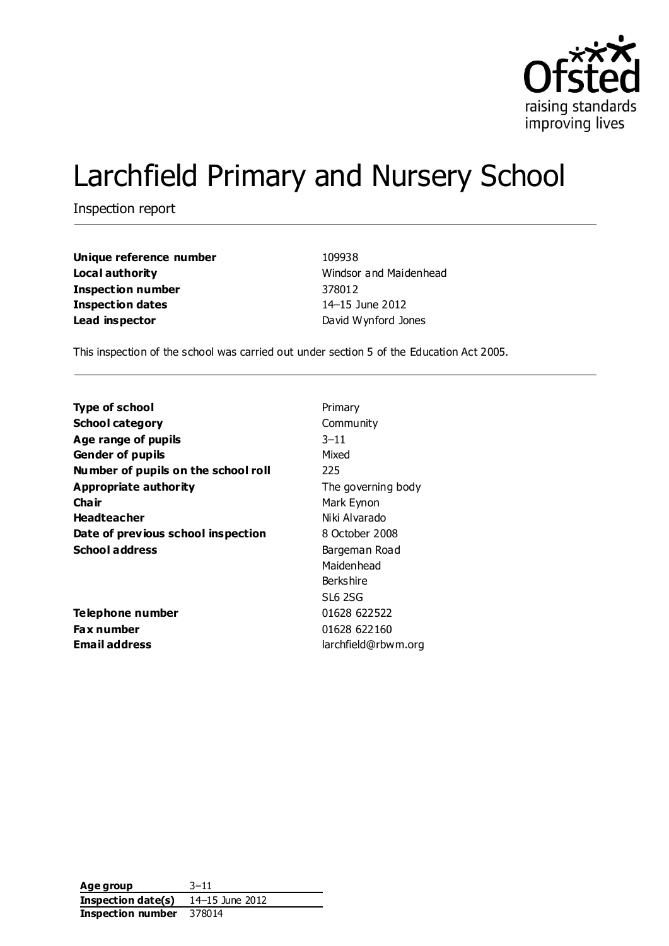

# Larchfield Primary and Nursery School

Inspection report

**Unique reference number** 109938 **Local authority Mindsor and Maidenhead Inspection number** 378012 **Inspection dates** 14–15 June 2012 **Lead inspector Contract David Wynford Jones** 

This inspection of the school was carried out under section 5 of the Education Act 2005.

| <b>Type of school</b>                | Primary            |  |  |  |
|--------------------------------------|--------------------|--|--|--|
| <b>School category</b>               | Community          |  |  |  |
| Age range of pupils                  | $3 - 11$           |  |  |  |
| <b>Gender of pupils</b>              | Mixed              |  |  |  |
| Number of pupils on the school roll  | 225                |  |  |  |
| <b>Appropriate authority</b>         | The governing body |  |  |  |
| Cha ir                               | Mark Eynon         |  |  |  |
| <b>Headteacher</b>                   | Niki Alvarado      |  |  |  |
| Date of previous school inspection   | 8 October 2008     |  |  |  |
| <b>School address</b>                | Bargeman Road      |  |  |  |
|                                      | Maidenhead         |  |  |  |
|                                      | <b>Berkshire</b>   |  |  |  |
|                                      | <b>SL6 2SG</b>     |  |  |  |
| Telephone number                     | 01628 622522       |  |  |  |
| Fax number                           | 01628 622160       |  |  |  |
| Email address<br>larchfield@rbwm.org |                    |  |  |  |

**Age group** 3–11 **Inspection date(s)** 14–15 June 2012 **Inspection number** 378014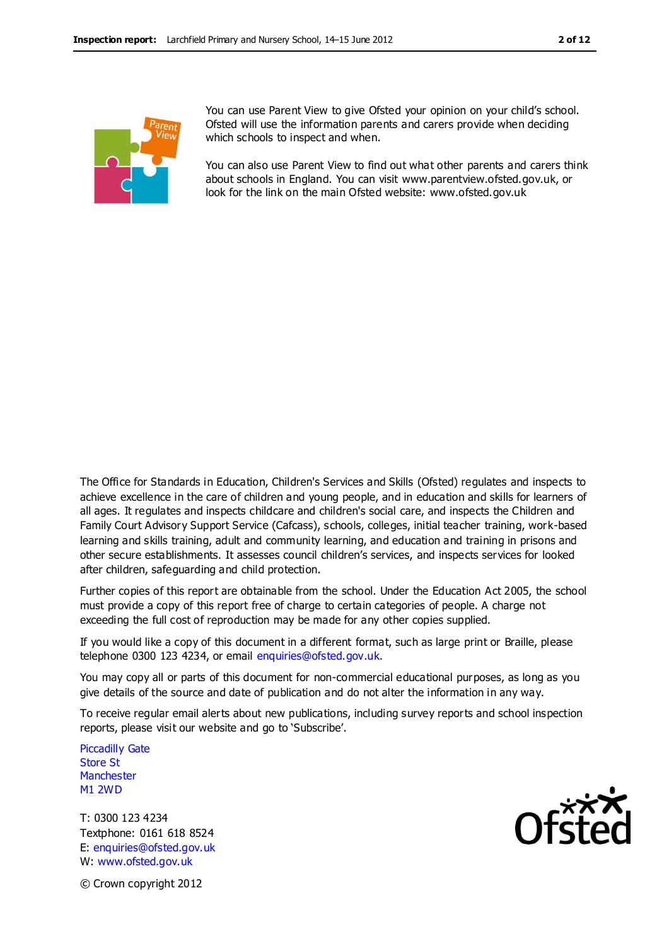

You can use Parent View to give Ofsted your opinion on your child's school. Ofsted will use the information parents and carers provide when deciding which schools to inspect and when.

You can also use Parent View to find out what other parents and carers think about schools in England. You can visit www.parentview.ofsted.gov.uk, or look for the link on the main Ofsted website: www.ofsted.gov.uk

The Office for Standards in Education, Children's Services and Skills (Ofsted) regulates and inspects to achieve excellence in the care of children and young people, and in education and skills for learners of all ages. It regulates and inspects childcare and children's social care, and inspects the Children and Family Court Advisory Support Service (Cafcass), schools, colleges, initial teacher training, work-based learning and skills training, adult and community learning, and education and training in prisons and other secure establishments. It assesses council children's services, and inspects services for looked after children, safeguarding and child protection.

Further copies of this report are obtainable from the school. Under the Education Act 2005, the school must provide a copy of this report free of charge to certain categories of people. A charge not exceeding the full cost of reproduction may be made for any other copies supplied.

If you would like a copy of this document in a different format, such as large print or Braille, please telephone 0300 123 4234, or email enquiries@ofsted.gov.uk.

You may copy all or parts of this document for non-commercial educational purposes, as long as you give details of the source and date of publication and do not alter the information in any way.

To receive regular email alerts about new publications, including survey reports and school inspection reports, please visit our website and go to 'Subscribe'.

Piccadilly Gate Store St **Manchester** M1 2WD

T: 0300 123 4234 Textphone: 0161 618 8524 E: enquiries@ofsted.gov.uk W: www.ofsted.gov.uk



© Crown copyright 2012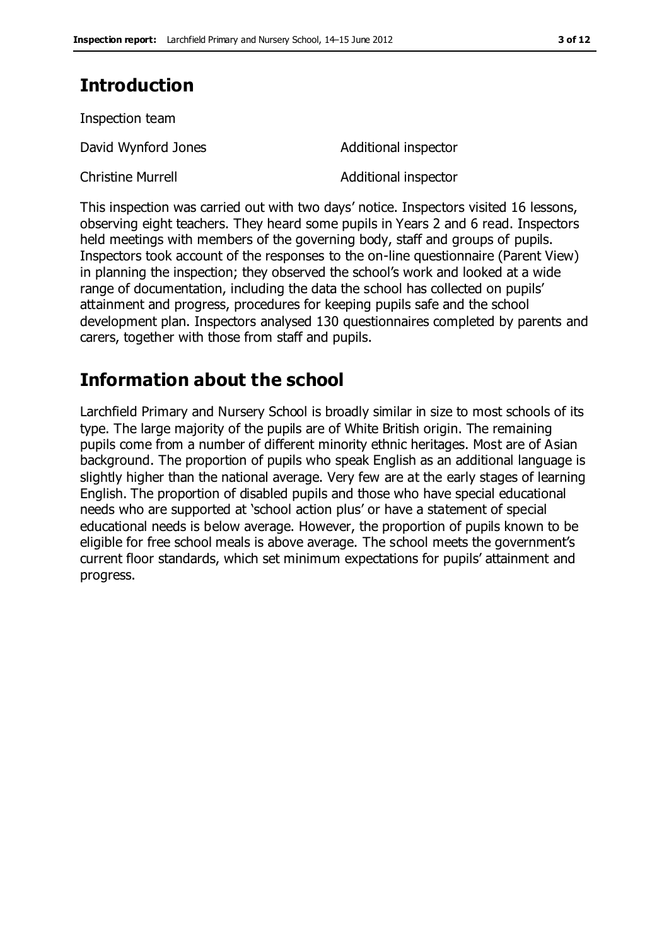# **Introduction**

| Inspection team          |                      |
|--------------------------|----------------------|
| David Wynford Jones      | Additional inspector |
| <b>Christine Murrell</b> | Additional inspector |

This inspection was carried out with two days' notice. Inspectors visited 16 lessons, observing eight teachers. They heard some pupils in Years 2 and 6 read. Inspectors held meetings with members of the governing body, staff and groups of pupils. Inspectors took account of the responses to the on-line questionnaire (Parent View) in planning the inspection; they observed the school's work and looked at a wide range of documentation, including the data the school has collected on pupils' attainment and progress, procedures for keeping pupils safe and the school development plan. Inspectors analysed 130 questionnaires completed by parents and carers, together with those from staff and pupils.

# **Information about the school**

Larchfield Primary and Nursery School is broadly similar in size to most schools of its type. The large majority of the pupils are of White British origin. The remaining pupils come from a number of different minority ethnic heritages. Most are of Asian background. The proportion of pupils who speak English as an additional language is slightly higher than the national average. Very few are at the early stages of learning English. The proportion of disabled pupils and those who have special educational needs who are supported at 'school action plus' or have a statement of special educational needs is below average. However, the proportion of pupils known to be eligible for free school meals is above average. The school meets the government's current floor standards, which set minimum expectations for pupils' attainment and progress.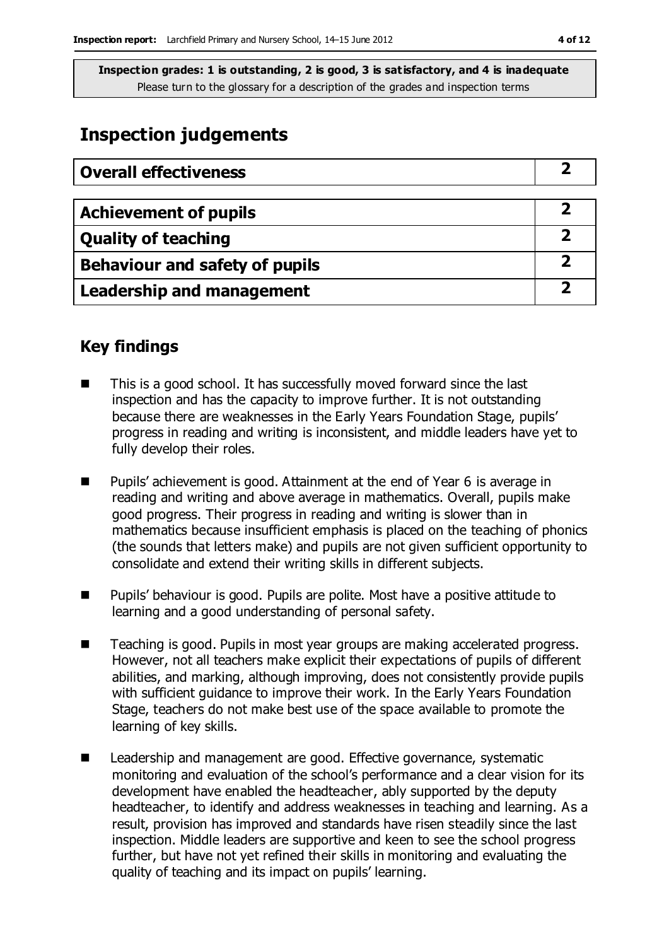# **Inspection judgements**

| <b>Overall effectiveness</b>     |  |
|----------------------------------|--|
|                                  |  |
| <b>Achievement of pupils</b>     |  |
| <b>Quality of teaching</b>       |  |
| Behaviour and safety of pupils   |  |
| <b>Leadership and management</b> |  |

## **Key findings**

- This is a good school. It has successfully moved forward since the last inspection and has the capacity to improve further. It is not outstanding because there are weaknesses in the Early Years Foundation Stage, pupils' progress in reading and writing is inconsistent, and middle leaders have yet to fully develop their roles.
- Pupils' achievement is good. Attainment at the end of Year 6 is average in reading and writing and above average in mathematics. Overall, pupils make good progress. Their progress in reading and writing is slower than in mathematics because insufficient emphasis is placed on the teaching of phonics (the sounds that letters make) and pupils are not given sufficient opportunity to consolidate and extend their writing skills in different subjects.
- Pupils' behaviour is good. Pupils are polite. Most have a positive attitude to learning and a good understanding of personal safety.
- Teaching is good. Pupils in most year groups are making accelerated progress. However, not all teachers make explicit their expectations of pupils of different abilities, and marking, although improving, does not consistently provide pupils with sufficient guidance to improve their work. In the Early Years Foundation Stage, teachers do not make best use of the space available to promote the learning of key skills.
- Leadership and management are good. Effective governance, systematic monitoring and evaluation of the school's performance and a clear vision for its development have enabled the headteacher, ably supported by the deputy headteacher, to identify and address weaknesses in teaching and learning. As a result, provision has improved and standards have risen steadily since the last inspection. Middle leaders are supportive and keen to see the school progress further, but have not yet refined their skills in monitoring and evaluating the quality of teaching and its impact on pupils' learning.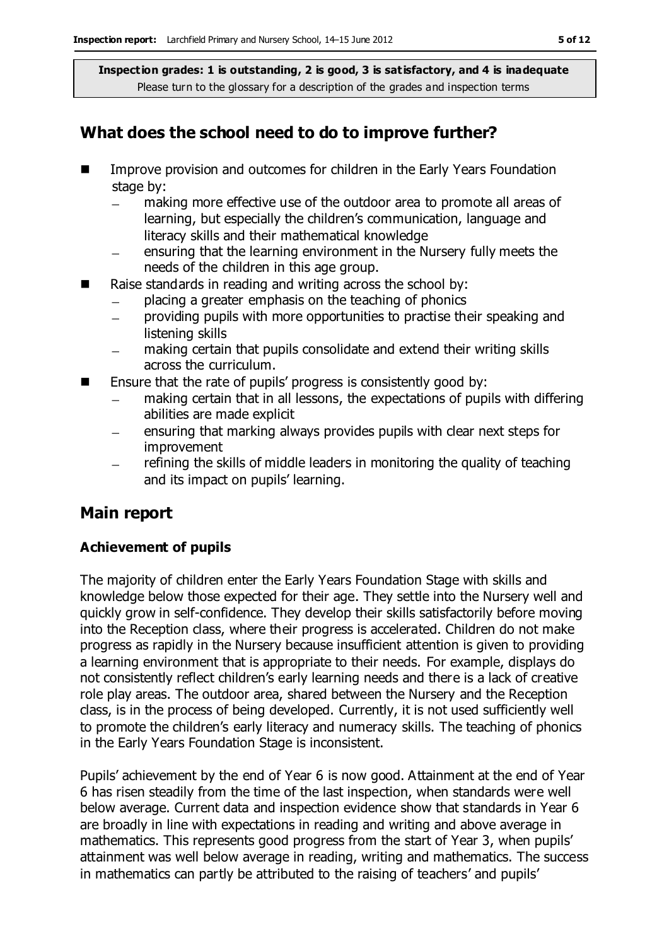# **What does the school need to do to improve further?**

- **IMPROVE PROVISS** and outcomes for children in the Early Years Foundation stage by:
	- making more effective use of the outdoor area to promote all areas of learning, but especially the children's communication, language and literacy skills and their mathematical knowledge
	- ensuring that the learning environment in the Nursery fully meets the needs of the children in this age group.
- Raise standards in reading and writing across the school by:
	- placing a greater emphasis on the teaching of phonics
	- providing pupils with more opportunities to practise their speaking and  $\equiv$ listening skills
	- making certain that pupils consolidate and extend their writing skills across the curriculum.
- $\blacksquare$  Ensure that the rate of pupils' progress is consistently good by:
	- making certain that in all lessons, the expectations of pupils with differing  $\equiv$ abilities are made explicit
	- ensuring that marking always provides pupils with clear next steps for  $\overline{\phantom{0}}$ improvement
	- refining the skills of middle leaders in monitoring the quality of teaching and its impact on pupils' learning.

# **Main report**

### **Achievement of pupils**

The majority of children enter the Early Years Foundation Stage with skills and knowledge below those expected for their age. They settle into the Nursery well and quickly grow in self-confidence. They develop their skills satisfactorily before moving into the Reception class, where their progress is accelerated. Children do not make progress as rapidly in the Nursery because insufficient attention is given to providing a learning environment that is appropriate to their needs. For example, displays do not consistently reflect children's early learning needs and there is a lack of creative role play areas. The outdoor area, shared between the Nursery and the Reception class, is in the process of being developed. Currently, it is not used sufficiently well to promote the children's early literacy and numeracy skills. The teaching of phonics in the Early Years Foundation Stage is inconsistent.

Pupils' achievement by the end of Year 6 is now good. Attainment at the end of Year 6 has risen steadily from the time of the last inspection, when standards were well below average. Current data and inspection evidence show that standards in Year 6 are broadly in line with expectations in reading and writing and above average in mathematics. This represents good progress from the start of Year 3, when pupils' attainment was well below average in reading, writing and mathematics. The success in mathematics can partly be attributed to the raising of teachers' and pupils'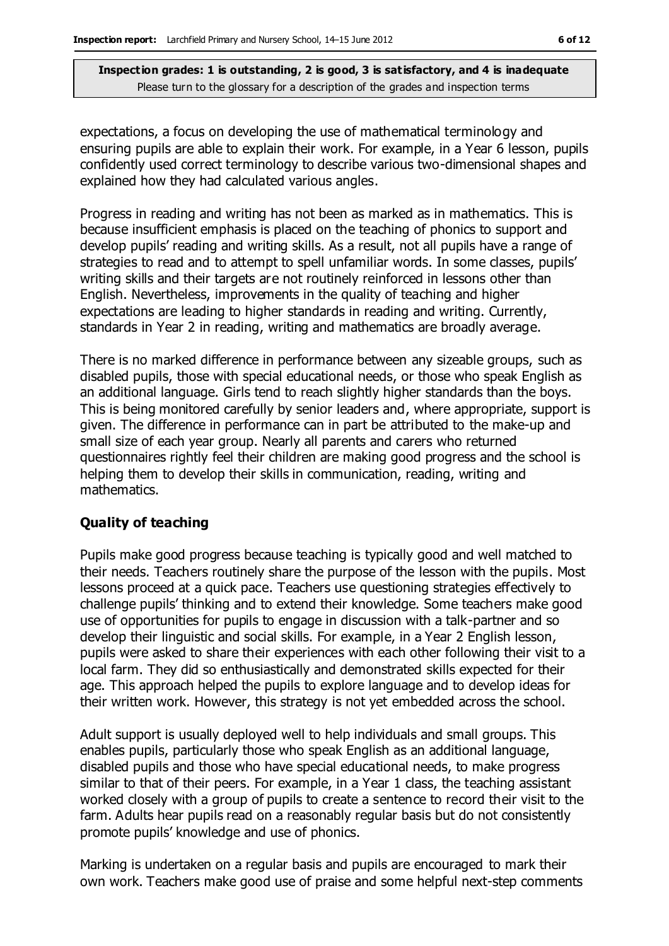expectations, a focus on developing the use of mathematical terminology and ensuring pupils are able to explain their work. For example, in a Year 6 lesson, pupils confidently used correct terminology to describe various two-dimensional shapes and explained how they had calculated various angles.

Progress in reading and writing has not been as marked as in mathematics. This is because insufficient emphasis is placed on the teaching of phonics to support and develop pupils' reading and writing skills. As a result, not all pupils have a range of strategies to read and to attempt to spell unfamiliar words. In some classes, pupils' writing skills and their targets are not routinely reinforced in lessons other than English. Nevertheless, improvements in the quality of teaching and higher expectations are leading to higher standards in reading and writing. Currently, standards in Year 2 in reading, writing and mathematics are broadly average.

There is no marked difference in performance between any sizeable groups, such as disabled pupils, those with special educational needs, or those who speak English as an additional language. Girls tend to reach slightly higher standards than the boys. This is being monitored carefully by senior leaders and, where appropriate, support is given. The difference in performance can in part be attributed to the make-up and small size of each year group. Nearly all parents and carers who returned questionnaires rightly feel their children are making good progress and the school is helping them to develop their skills in communication, reading, writing and mathematics.

### **Quality of teaching**

Pupils make good progress because teaching is typically good and well matched to their needs. Teachers routinely share the purpose of the lesson with the pupils. Most lessons proceed at a quick pace. Teachers use questioning strategies effectively to challenge pupils' thinking and to extend their knowledge. Some teachers make good use of opportunities for pupils to engage in discussion with a talk-partner and so develop their linguistic and social skills. For example, in a Year 2 English lesson, pupils were asked to share their experiences with each other following their visit to a local farm. They did so enthusiastically and demonstrated skills expected for their age. This approach helped the pupils to explore language and to develop ideas for their written work. However, this strategy is not yet embedded across the school.

Adult support is usually deployed well to help individuals and small groups. This enables pupils, particularly those who speak English as an additional language, disabled pupils and those who have special educational needs, to make progress similar to that of their peers. For example, in a Year 1 class, the teaching assistant worked closely with a group of pupils to create a sentence to record their visit to the farm. Adults hear pupils read on a reasonably regular basis but do not consistently promote pupils' knowledge and use of phonics.

Marking is undertaken on a regular basis and pupils are encouraged to mark their own work. Teachers make good use of praise and some helpful next-step comments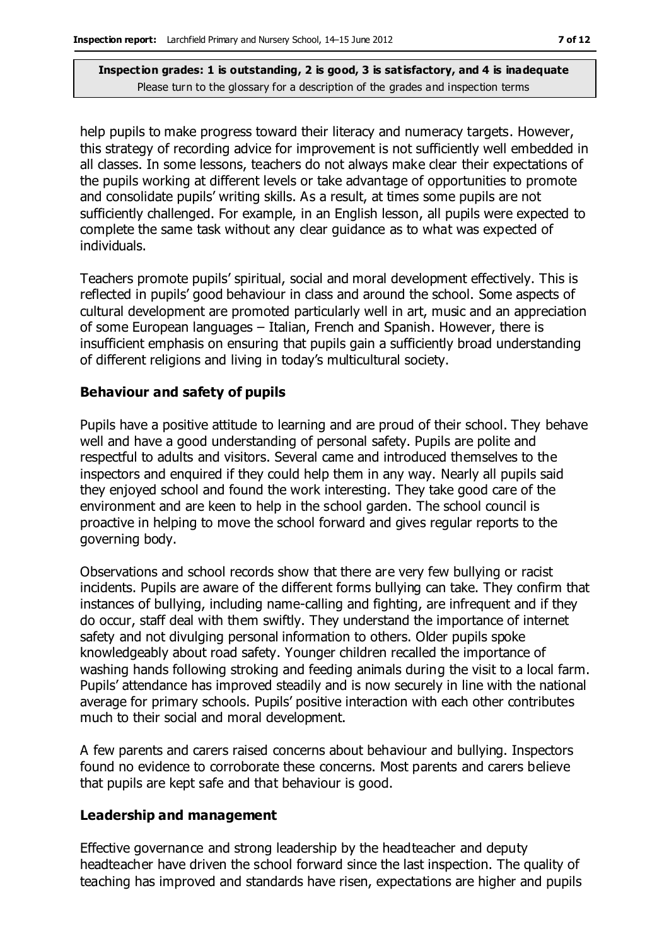help pupils to make progress toward their literacy and numeracy targets. However, this strategy of recording advice for improvement is not sufficiently well embedded in all classes. In some lessons, teachers do not always make clear their expectations of the pupils working at different levels or take advantage of opportunities to promote and consolidate pupils' writing skills. As a result, at times some pupils are not sufficiently challenged. For example, in an English lesson, all pupils were expected to complete the same task without any clear guidance as to what was expected of individuals.

Teachers promote pupils' spiritual, social and moral development effectively. This is reflected in pupils' good behaviour in class and around the school. Some aspects of cultural development are promoted particularly well in art, music and an appreciation of some European languages – Italian, French and Spanish. However, there is insufficient emphasis on ensuring that pupils gain a sufficiently broad understanding of different religions and living in today's multicultural society.

#### **Behaviour and safety of pupils**

Pupils have a positive attitude to learning and are proud of their school. They behave well and have a good understanding of personal safety. Pupils are polite and respectful to adults and visitors. Several came and introduced themselves to the inspectors and enquired if they could help them in any way. Nearly all pupils said they enjoyed school and found the work interesting. They take good care of the environment and are keen to help in the school garden. The school council is proactive in helping to move the school forward and gives regular reports to the governing body.

Observations and school records show that there are very few bullying or racist incidents. Pupils are aware of the different forms bullying can take. They confirm that instances of bullying, including name-calling and fighting, are infrequent and if they do occur, staff deal with them swiftly. They understand the importance of internet safety and not divulging personal information to others. Older pupils spoke knowledgeably about road safety. Younger children recalled the importance of washing hands following stroking and feeding animals during the visit to a local farm. Pupils' attendance has improved steadily and is now securely in line with the national average for primary schools. Pupils' positive interaction with each other contributes much to their social and moral development.

A few parents and carers raised concerns about behaviour and bullying. Inspectors found no evidence to corroborate these concerns. Most parents and carers believe that pupils are kept safe and that behaviour is good.

#### **Leadership and management**

Effective governance and strong leadership by the headteacher and deputy headteacher have driven the school forward since the last inspection. The quality of teaching has improved and standards have risen, expectations are higher and pupils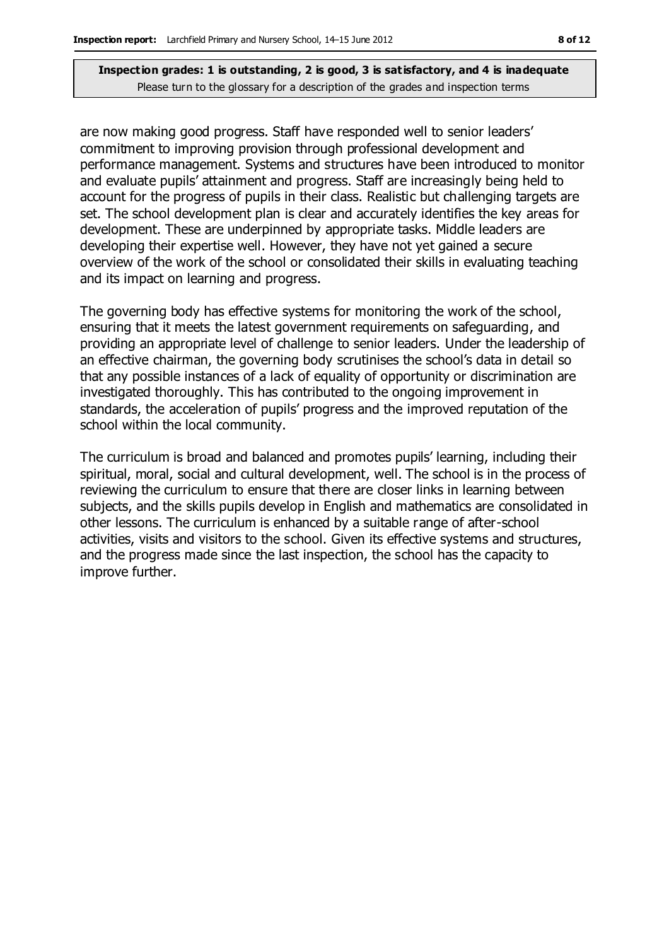are now making good progress. Staff have responded well to senior leaders' commitment to improving provision through professional development and performance management. Systems and structures have been introduced to monitor and evaluate pupils' attainment and progress. Staff are increasingly being held to account for the progress of pupils in their class. Realistic but challenging targets are set. The school development plan is clear and accurately identifies the key areas for development. These are underpinned by appropriate tasks. Middle leaders are developing their expertise well. However, they have not yet gained a secure overview of the work of the school or consolidated their skills in evaluating teaching and its impact on learning and progress.

The governing body has effective systems for monitoring the work of the school, ensuring that it meets the latest government requirements on safeguarding, and providing an appropriate level of challenge to senior leaders. Under the leadership of an effective chairman, the governing body scrutinises the school's data in detail so that any possible instances of a lack of equality of opportunity or discrimination are investigated thoroughly. This has contributed to the ongoing improvement in standards, the acceleration of pupils' progress and the improved reputation of the school within the local community.

The curriculum is broad and balanced and promotes pupils' learning, including their spiritual, moral, social and cultural development, well. The school is in the process of reviewing the curriculum to ensure that there are closer links in learning between subjects, and the skills pupils develop in English and mathematics are consolidated in other lessons. The curriculum is enhanced by a suitable range of after-school activities, visits and visitors to the school. Given its effective systems and structures, and the progress made since the last inspection, the school has the capacity to improve further.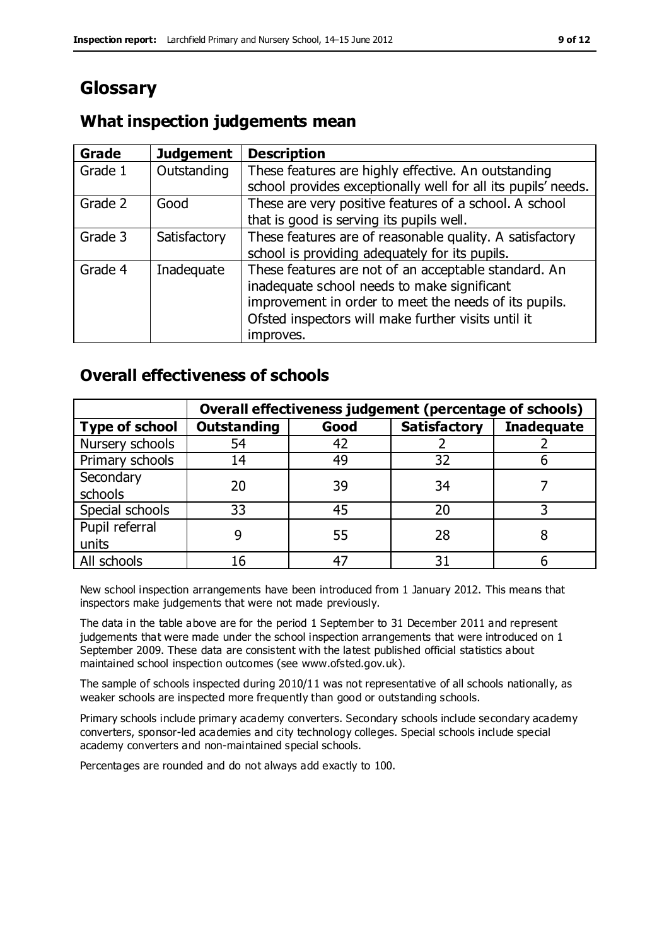# **Glossary**

### **Grade Judgement Description** Grade  $1$  | Outstanding | These features are highly effective. An outstanding school provides exceptionally well for all its pupils' needs. Grade 2 Good These are very positive features of a school. A school that is good is serving its pupils well. Grade 3  $\parallel$  Satisfactory  $\parallel$  These features are of reasonable quality. A satisfactory school is providing adequately for its pupils. Grade 4  $\parallel$  Inadequate  $\parallel$  These features are not of an acceptable standard. An inadequate school needs to make significant improvement in order to meet the needs of its pupils. Ofsted inspectors will make further visits until it improves.

# **What inspection judgements mean**

# **Overall effectiveness of schools**

|                       | Overall effectiveness judgement (percentage of schools) |      |                     |                   |
|-----------------------|---------------------------------------------------------|------|---------------------|-------------------|
| <b>Type of school</b> | <b>Outstanding</b>                                      | Good | <b>Satisfactory</b> | <b>Inadequate</b> |
| Nursery schools       | 54                                                      | 42   |                     |                   |
| Primary schools       | 14                                                      | 49   | 32                  |                   |
| Secondary             | 20                                                      | 39   | 34                  |                   |
| schools               |                                                         |      |                     |                   |
| Special schools       | 33                                                      | 45   | 20                  |                   |
| Pupil referral        |                                                         | 55   | 28                  |                   |
| units                 |                                                         |      |                     |                   |
| All schools           |                                                         |      | م -                 |                   |

New school inspection arrangements have been introduced from 1 January 2012. This means that inspectors make judgements that were not made previously.

The data in the table above are for the period 1 September to 31 December 2011 and represent judgements that were made under the school inspection arrangements that were introduced on 1 September 2009. These data are consistent with the latest published official statistics about maintained school inspection outcomes (see www.ofsted.gov.uk).

The sample of schools inspected during 2010/11 was not representative of all schools nationally, as weaker schools are inspected more frequently than good or outstanding schools.

Primary schools include primary academy converters. Secondary schools include secondary academy converters, sponsor-led academies and city technology colleges. Special schools include special academy converters and non-maintained special schools.

Percentages are rounded and do not always add exactly to 100.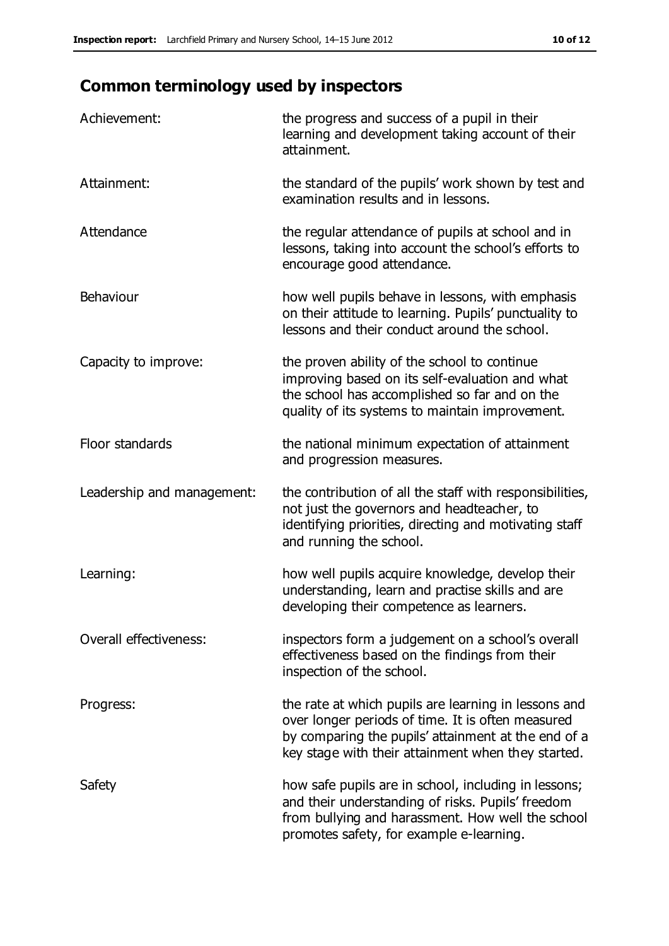# **Common terminology used by inspectors**

| Achievement:               | the progress and success of a pupil in their<br>learning and development taking account of their<br>attainment.                                                                                                        |
|----------------------------|------------------------------------------------------------------------------------------------------------------------------------------------------------------------------------------------------------------------|
| Attainment:                | the standard of the pupils' work shown by test and<br>examination results and in lessons.                                                                                                                              |
| Attendance                 | the regular attendance of pupils at school and in<br>lessons, taking into account the school's efforts to<br>encourage good attendance.                                                                                |
| Behaviour                  | how well pupils behave in lessons, with emphasis<br>on their attitude to learning. Pupils' punctuality to<br>lessons and their conduct around the school.                                                              |
| Capacity to improve:       | the proven ability of the school to continue<br>improving based on its self-evaluation and what<br>the school has accomplished so far and on the<br>quality of its systems to maintain improvement.                    |
| Floor standards            | the national minimum expectation of attainment<br>and progression measures.                                                                                                                                            |
| Leadership and management: | the contribution of all the staff with responsibilities,<br>not just the governors and headteacher, to<br>identifying priorities, directing and motivating staff<br>and running the school.                            |
| Learning:                  | how well pupils acquire knowledge, develop their<br>understanding, learn and practise skills and are<br>developing their competence as learners.                                                                       |
| Overall effectiveness:     | inspectors form a judgement on a school's overall<br>effectiveness based on the findings from their<br>inspection of the school.                                                                                       |
| Progress:                  | the rate at which pupils are learning in lessons and<br>over longer periods of time. It is often measured<br>by comparing the pupils' attainment at the end of a<br>key stage with their attainment when they started. |
| Safety                     | how safe pupils are in school, including in lessons;<br>and their understanding of risks. Pupils' freedom<br>from bullying and harassment. How well the school<br>promotes safety, for example e-learning.             |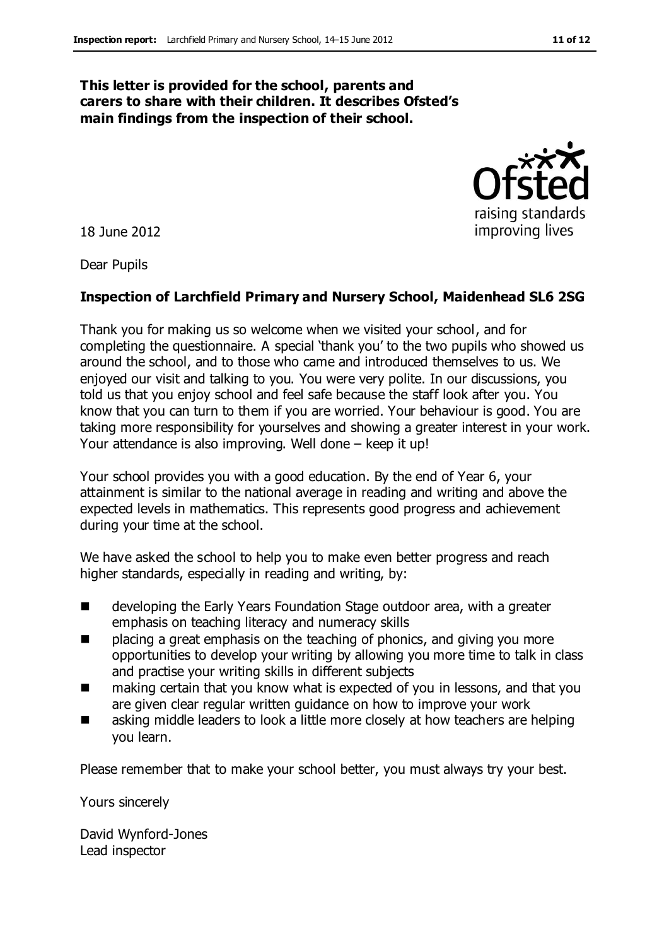#### **This letter is provided for the school, parents and carers to share with their children. It describes Ofsted's main findings from the inspection of their school.**

18 June 2012

Dear Pupils

#### **Inspection of Larchfield Primary and Nursery School, Maidenhead SL6 2SG**

Thank you for making us so welcome when we visited your school, and for completing the questionnaire. A special 'thank you' to the two pupils who showed us around the school, and to those who came and introduced themselves to us. We enjoyed our visit and talking to you. You were very polite. In our discussions, you told us that you enjoy school and feel safe because the staff look after you. You know that you can turn to them if you are worried. Your behaviour is good. You are taking more responsibility for yourselves and showing a greater interest in your work. Your attendance is also improving. Well done – keep it up!

Your school provides you with a good education. By the end of Year 6, your attainment is similar to the national average in reading and writing and above the expected levels in mathematics. This represents good progress and achievement during your time at the school.

We have asked the school to help you to make even better progress and reach higher standards, especially in reading and writing, by:

- developing the Early Years Foundation Stage outdoor area, with a greater emphasis on teaching literacy and numeracy skills
- placing a great emphasis on the teaching of phonics, and giving you more opportunities to develop your writing by allowing you more time to talk in class and practise your writing skills in different subjects
- making certain that you know what is expected of you in lessons, and that you are given clear regular written guidance on how to improve your work
- asking middle leaders to look a little more closely at how teachers are helping you learn.

Please remember that to make your school better, you must always try your best.

Yours sincerely

David Wynford-Jones Lead inspector